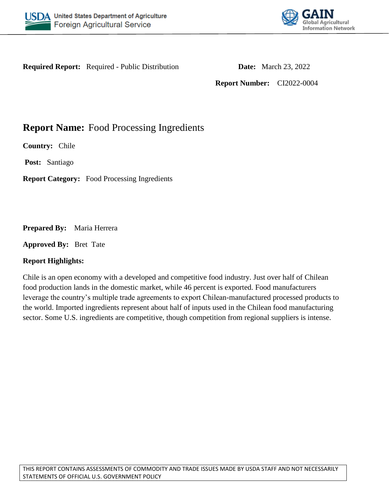



**Required Report:** Required - Public Distribution **Date:** March 23, 2022

**Report Number:** CI2022-0004

**Report Name:** Food Processing Ingredients

**Country:** Chile

**Post:** Santiago

**Report Category:** Food Processing Ingredients

**Prepared By:** Maria Herrera

**Approved By:** Bret Tate

# **Report Highlights:**

Chile is an open economy with a developed and competitive food industry. Just over half of Chilean food production lands in the domestic market, while 46 percent is exported. Food manufacturers leverage the country's multiple trade agreements to export Chilean-manufactured processed products to the world. Imported ingredients represent about half of inputs used in the Chilean food manufacturing sector. Some U.S. ingredients are competitive, though competition from regional suppliers is intense.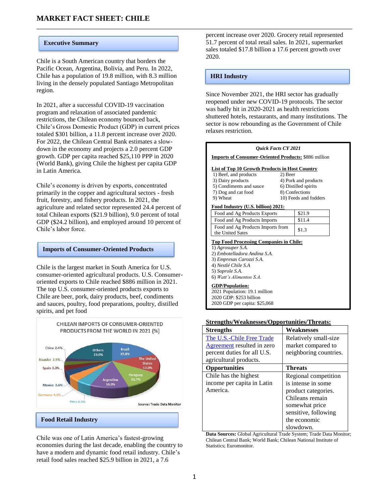#### **Executive Summary**

Chile is a South American country that borders the Pacific Ocean, Argentina, Bolivia, and Peru. In 2022, Chile has a population of 19.8 million, with 8.3 million living in the densely populated Santiago Metropolitan region.

In 2021, after a successful COVID-19 vaccination program and relaxation of associated pandemic restrictions, the Chilean economy bounced back, Chile's Gross Domestic Product (GDP) in current prices totaled \$301 billion, a 11.8 percent increase over 2020. For 2022, the Chilean Central Bank estimates a slowdown in the economy and projects a 2.0 percent GDP growth. GDP per capita reached \$25,110 PPP in 2020 (World Bank), giving Chile the highest per capita GDP in Latin America.

Chile's economy is driven by exports, concentrated primarily in the copper and agricultural sectors - fresh fruit, forestry, and fishery products. In 2021, the agriculture and related sector represented 24.4 percent of total Chilean exports (\$21.9 billion), 9.0 percent of total GDP (\$24.2 billion), and employed around 10 percent of Chile's labor force.

#### **Imports of Consumer-Oriented Products**

Chile is the largest market in South America for U.S. consumer-oriented agricultural products. U.S. Consumeroriented exports to Chile reached \$886 million in 2021. The top U.S. consumer-oriented products exports to Chile are beer, pork, dairy products, beef, condiments and sauces, poultry, food preparations, poultry, distilled spirits, and pet food



Chile was one of Latin America's fastest-growing economies during the last decade, enabling the country to have a modern and dynamic food retail industry. Chile's retail food sales reached \$25.9 billion in 2021, a 7.6

percent increase over 2020. Grocery retail represented 51.7 percent of total retail sales. In 2021, supermarket sales totaled \$17.8 billion a 17.6 percent growth over 2020.

#### **HRI Industry**

Since November 2021, the HRI sector has gradually reopened under new COVID-19 protocols. The sector was badly hit in 2020-2021 as health restrictions shuttered hotels, restaurants, and many institutions. The sector is now rebounding as the Government of Chile relaxes restriction.



2020 GDP per capita: \$25,068

#### **Strengths/Weaknesses/Opportunities/Threats:**

| <b>Strengths</b>                                        | Weaknesses                                  |
|---------------------------------------------------------|---------------------------------------------|
| The U.S.-Chile Free Trade<br>Agreement resulted in zero | Relatively small-size<br>market compared to |
| percent duties for all U.S.                             | neighboring countries.                      |
| agricultural products.                                  |                                             |
| <b>Opportunities</b>                                    | <b>Threats</b>                              |
| Chile has the highest                                   | Regional competition                        |
| income per capita in Latin                              | is intense in some                          |
| America.                                                | product categories.                         |
|                                                         | Chileans remain                             |
|                                                         | somewhat price                              |
|                                                         | sensitive, following                        |
|                                                         | the economic                                |
|                                                         | slowdown.                                   |

**Data Sources:** Global Agricultural Trade System; Trade Data Monitor; Chilean Central Bank; World Bank; Chilean National Institute of Statistics; Euromonitor.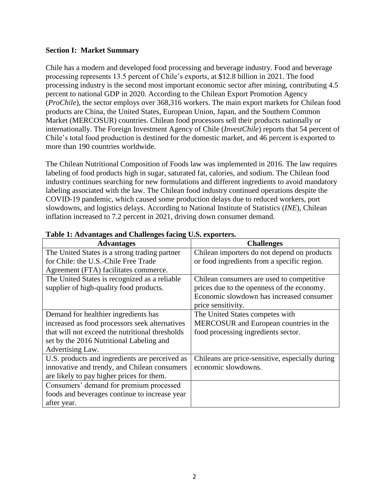#### **Section I: Market Summary**

Chile has a modern and developed food processing and beverage industry. Food and beverage processing represents 13.5 percent of Chile's exports, at \$12.8 billion in 2021. The food processing industry is the second most important economic sector after mining, contributing 4.5 percent to national GDP in 2020. According to the Chilean Export Promotion Agency (*ProChile*), the sector employs over 368,316 workers. The main export markets for Chilean food products are China, the United States, European Union, Japan, and the Southern Common Market (MERCOSUR) countries. Chilean food processors sell their products nationally or internationally. The Foreign Investment Agency of Chile (*InvestChile*) reports that 54 percent of Chile's total food production is destined for the domestic market, and 46 percent is exported to more than 190 countries worldwide.

The Chilean Nutritional Composition of Foods law was implemented in 2016. The law requires labeling of food products high in sugar, saturated fat, calories, and sodium. The Chilean food industry continues searching for new formulations and different ingredients to avoid mandatory labeling associated with the law. The Chilean food industry continued operations despite the COVID-19 pandemic, which caused some production delays due to reduced workers, port slowdowns, and logistics delays. According to National Institute of Statistics (*INE*), Chilean inflation increased to 7.2 percent in 2021, driving down consumer demand.

| <b>Advantages</b>                               | <b>Challenges</b>                               |
|-------------------------------------------------|-------------------------------------------------|
| The United States is a strong trading partner   | Chilean importers do not depend on products     |
| for Chile: the U.S.-Chile Free Trade            | or food ingredients from a specific region.     |
| Agreement (FTA) facilitates commerce.           |                                                 |
| The United States is recognized as a reliable   | Chilean consumers are used to competitive       |
| supplier of high-quality food products.         | prices due to the openness of the economy.      |
|                                                 | Economic slowdown has increased consumer        |
|                                                 | price sensitivity.                              |
| Demand for healthier ingredients has            | The United States competes with                 |
| increased as food processors seek alternatives  | MERCOSUR and European countries in the          |
| that will not exceed the nutritional thresholds | food processing ingredients sector.             |
| set by the 2016 Nutritional Labeling and        |                                                 |
| Advertising Law.                                |                                                 |
| U.S. products and ingredients are perceived as  | Chileans are price-sensitive, especially during |
| innovative and trendy, and Chilean consumers    | economic slowdowns.                             |
| are likely to pay higher prices for them.       |                                                 |
| Consumers' demand for premium processed         |                                                 |
| foods and beverages continue to increase year   |                                                 |
| after year.                                     |                                                 |

#### **Table 1: Advantages and Challenges facing U.S. exporters.**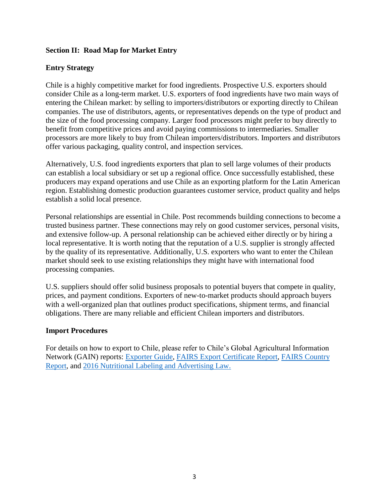# **Section II: Road Map for Market Entry**

## **Entry Strategy**

Chile is a highly competitive market for food ingredients. Prospective U.S. exporters should consider Chile as a long-term market. U.S. exporters of food ingredients have two main ways of entering the Chilean market: by selling to importers/distributors or exporting directly to Chilean companies. The use of distributors, agents, or representatives depends on the type of product and the size of the food processing company. Larger food processors might prefer to buy directly to benefit from competitive prices and avoid paying commissions to intermediaries. Smaller processors are more likely to buy from Chilean importers/distributors. Importers and distributors offer various packaging, quality control, and inspection services.

Alternatively, U.S. food ingredients exporters that plan to sell large volumes of their products can establish a local subsidiary or set up a regional office. Once successfully established, these producers may expand operations and use Chile as an exporting platform for the Latin American region. Establishing domestic production guarantees customer service, product quality and helps establish a solid local presence.

Personal relationships are essential in Chile. Post recommends building connections to become a trusted business partner. These connections may rely on good customer services, personal visits, and extensive follow-up. A personal relationship can be achieved either directly or by hiring a local representative. It is worth noting that the reputation of a U.S. supplier is strongly affected by the quality of its representative. Additionally, U.S. exporters who want to enter the Chilean market should seek to use existing relationships they might have with international food processing companies.

U.S. suppliers should offer solid business proposals to potential buyers that compete in quality, prices, and payment conditions. Exporters of new-to-market products should approach buyers with a well-organized plan that outlines product specifications, shipment terms, and financial obligations. There are many reliable and efficient Chilean importers and distributors.

#### **Import Procedures**

For details on how to export to Chile, please refer to Chile's Global Agricultural Information Network (GAIN) reports: [Exporter Guide,](https://apps.fas.usda.gov/newgainapi/api/Report/DownloadReportByFileName?fileName=Exporter%20Guide_Santiago_Chile_12-31-2021.pdf) [FAIRS Export Certificate Report,](https://apps.fas.usda.gov/newgainapi/api/Report/DownloadReportByFileName?fileName=Food%20and%20Agricultural%20Import%20Regulations%20and%20Standards%20Export%20Certificate%20Report_Santiago_Chile_09-30-2021.pdf) [FAIRS Country](https://apps.fas.usda.gov/newgainapi/api/Report/DownloadReportByFileName?fileName=Food%20and%20Agricultural%20Import%20Regulations%20and%20Standards%20Country%20Report_Santiago_Chile_09-30-2021.pdf)  [Report,](https://apps.fas.usda.gov/newgainapi/api/Report/DownloadReportByFileName?fileName=Food%20and%20Agricultural%20Import%20Regulations%20and%20Standards%20Country%20Report_Santiago_Chile_09-30-2021.pdf) and [2016 Nutritional Labeling and Advertising Law.](https://gain.fas.usda.gov/Recent%20GAIN%20Publications/Chile)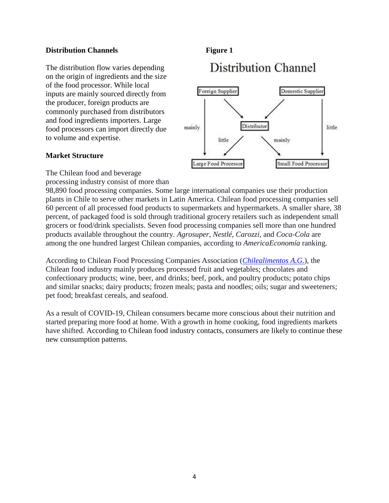### **Distribution Channels Figure 1**

The distribution flow varies depending on the origin of ingredients and the size of the food processor. While local inputs are mainly sourced directly from the producer, foreign products are commonly purchased from distributors and food ingredients importers. Large food processors can import directly due to volume and expertise.

## **Market Structure**

# **Distribution Channel**



The Chilean food and beverage

processing industry consist of more than

98,890 food processing companies. Some large international companies use their production plants in Chile to serve other markets in Latin America. Chilean food processing companies sell 60 percent of all processed food products to supermarkets and hypermarkets. A smaller share, 38 percent, of packaged food is sold through traditional grocery retailers such as independent small grocers or food/drink specialists. Seven food processing companies sell more than one hundred products available throughout the country. *Agrosuper*, *Nestlé*, *Carozzi*, and *Coca-Cola* are among the one hundred largest Chilean companies, according to *AmericaEconomía* ranking.

According to Chilean Food Processing Companies Association (*[Chilealimentos A.G.](https://chilealimentos.com/)*), the Chilean food industry mainly produces processed fruit and vegetables; chocolates and confectionary products; wine, beer, and drinks; beef, pork, and poultry products; potato chips and similar snacks; dairy products; frozen meals; pasta and noodles; oils; sugar and sweeteners; pet food; breakfast cereals, and seafood.

As a result of COVID-19, Chilean consumers became more conscious about their nutrition and started preparing more food at home. With a growth in home cooking, food ingredients markets have shifted. According to Chilean food industry contacts, consumers are likely to continue these new consumption patterns.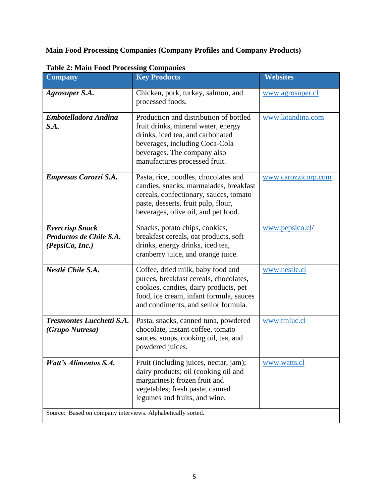**Main Food Processing Companies (Company Profiles and Company Products)**

| <b>Company</b>                                                       | <b>Key Products</b>                                                                                                                                                                                                 | <b>Websites</b>     |
|----------------------------------------------------------------------|---------------------------------------------------------------------------------------------------------------------------------------------------------------------------------------------------------------------|---------------------|
| <b>Agrosuper S.A.</b>                                                | Chicken, pork, turkey, salmon, and<br>processed foods.                                                                                                                                                              | www.agrosuper.cl    |
| Embotelladora Andina<br>S.A.                                         | Production and distribution of bottled<br>fruit drinks, mineral water, energy<br>drinks, iced tea, and carbonated<br>beverages, including Coca-Cola<br>beverages. The company also<br>manufactures processed fruit. | www.koandina.com    |
| Empresas Carozzi S.A.                                                | Pasta, rice, noodles, chocolates and<br>candies, snacks, marmalades, breakfast<br>cereals, confectionary, sauces, tomato<br>paste, desserts, fruit pulp, flour,<br>beverages, olive oil, and pet food.              | www.carozzicorp.com |
| <b>Evercrisp Snack</b><br>Productos de Chile S.A.<br>(PepsiCo, Inc.) | Snacks, potato chips, cookies,<br>breakfast cereals, oat products, soft<br>drinks, energy drinks, iced tea,<br>cranberry juice, and orange juice.                                                                   | www.pepsico.cl/     |
| Nestlé Chile S.A.                                                    | Coffee, dried milk, baby food and<br>purees, breakfast cereals, chocolates,<br>cookies, candies, dairy products, pet<br>food, ice cream, infant formula, sauces<br>and condiments, and senior formula.              | www.nestle.cl       |
| <b>Tresmontes Lucchetti S.A.</b><br>(Grupo Nutresa)                  | Pasta, snacks, canned tuna, powdered<br>chocolate, instant coffee, tomato<br>sauces, soups, cooking oil, tea, and<br>powdered juices.                                                                               | www.tmluc.cl        |
| <b>Watt's Alimentos S.A.</b>                                         | Fruit (including juices, nectar, jam);<br>dairy products; oil (cooking oil and<br>margarines); frozen fruit and<br>vegetables; fresh pasta; canned<br>legumes and fruits, and wine.                                 | www.watts.cl        |
| Source: Based on company interviews. Alphabetically sorted.          |                                                                                                                                                                                                                     |                     |

**Table 2: Main Food Processing Companies**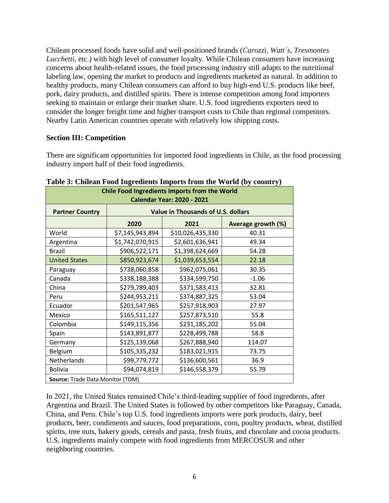Chilean processed foods have solid and well-positioned brands (*Carozz*i, *Watt´s, Tresmontes Lucchetti,* etc.) with high level of consumer loyalty. While Chilean consumers have increasing concerns about health-related issues, the food processing industry still adapts to the nutritional labeling law, opening the market to products and ingredients marketed as natural. In addition to healthy products, many Chilean consumers can afford to buy high-end U.S. products like beef, pork, dairy products, and distilled spirits. There is intense competition among food importers seeking to maintain or enlarge their market share. U.S. food ingredients exporters need to consider the longer freight time and higher transport costs to Chile than regional competitors. Nearby Latin American countries operate with relatively low shipping costs.

## **Section III: Competition**

There are significant opportunities for imported food ingredients in Chile, as the food processing industry import half of their food ingredients.

| <b>Chile Food Ingredients Imports from the World</b><br><b>Calendar Year: 2020 - 2021</b> |                 |                                           |                    |
|-------------------------------------------------------------------------------------------|-----------------|-------------------------------------------|--------------------|
| <b>Partner Country</b>                                                                    |                 | <b>Value in Thousands of U.S. dollars</b> |                    |
|                                                                                           | 2020            | 2021                                      | Average growth (%) |
| World                                                                                     | \$7,145,943,894 | \$10,026,435,330                          | 40.31              |
| Argentina                                                                                 | \$1,742,070,915 | \$2,601,636,941                           | 49.34              |
| Brazil                                                                                    | \$906,522,171   | \$1,398,624,669                           | 54.28              |
| <b>United States</b>                                                                      | \$850,923,674   | \$1,039,653,554                           | 22.18              |
| Paraguay                                                                                  | \$738,060,858   | \$962,075,061                             | 30.35              |
| Canada                                                                                    | \$338,188,388   | \$334,599,750                             | $-1.06$            |
| China                                                                                     | \$279,789,403   | \$371,583,413                             | 32.81              |
| Peru                                                                                      | \$244,953,211   | \$374,887,325                             | 53.04              |
| Ecuador                                                                                   | \$201,547,965   | \$257,918,903                             | 27.97              |
| Mexico                                                                                    | \$165,511,127   | \$257,873,510                             | 55.8               |
| Colombia                                                                                  | \$149,115,356   | \$231,185,202                             | 55.04              |
| Spain                                                                                     | \$143,891,877   | \$228,499,788                             | 58.8               |
| Germany                                                                                   | \$125,139,068   | \$267,888,940                             | 114.07             |
| Belgium                                                                                   | \$105,335,232   | \$183,021,915                             | 73.75              |
| Netherlands                                                                               | \$99,779,772    | \$136,600,561                             | 36.9               |
| <b>Bolivia</b>                                                                            | \$94,074,819    | \$146,558,379                             | 55.79              |
| Source: Trade Data Monitor (TDM)                                                          |                 |                                           |                    |

**Table 3: Chilean Food Ingredients Imports from the World (by country)**

In 2021, the United States remained Chile's third-leading supplier of food ingredients, after Argentina and Brazil. The United States is followed by other competitors like Paraguay, Canada, China, and Peru. Chile's top U.S. food ingredients imports were pork products, dairy, beef products, beer, condiments and sauces, food preparations, corn, poultry products, wheat, distilled spirits, tree nuts, bakery goods, cereals and pasta, fresh fruits, and chocolate and cocoa products. U.S. ingredients mainly compete with food ingredients from MERCOSUR and other neighboring countries.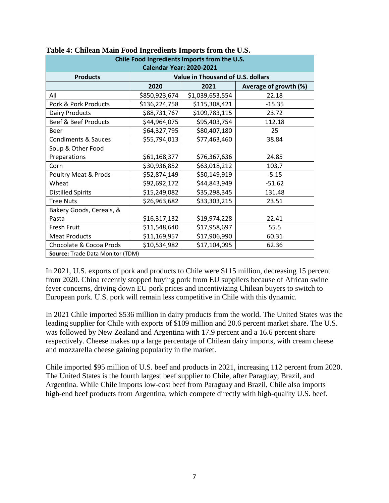| Chile Food Ingredients Imports from the U.S. |               |                                   |                       |
|----------------------------------------------|---------------|-----------------------------------|-----------------------|
| <b>Calendar Year: 2020-2021</b>              |               |                                   |                       |
| <b>Products</b>                              |               | Value in Thousand of U.S. dollars |                       |
|                                              | 2020          | 2021                              | Average of growth (%) |
| All                                          | \$850,923,674 | \$1,039,653,554                   | 22.18                 |
| Pork & Pork Products                         | \$136,224,758 | \$115,308,421                     | $-15.35$              |
| <b>Dairy Products</b>                        | \$88,731,767  | \$109,783,115                     | 23.72                 |
| Beef & Beef Products                         | \$44,964,075  | \$95,403,754                      | 112.18                |
| <b>Beer</b>                                  | \$64,327,795  | \$80,407,180                      | 25                    |
| <b>Condiments &amp; Sauces</b>               | \$55,794,013  | \$77,463,460                      | 38.84                 |
| Soup & Other Food                            |               |                                   |                       |
| Preparations                                 | \$61,168,377  | \$76,367,636                      | 24.85                 |
| Corn                                         | \$30,936,852  | \$63,018,212                      | 103.7                 |
| <b>Poultry Meat &amp; Prods</b>              | \$52,874,149  | \$50,149,919                      | $-5.15$               |
| Wheat                                        | \$92,692,172  | \$44,843,949                      | $-51.62$              |
| <b>Distilled Spirits</b>                     | \$15,249,082  | \$35,298,345                      | 131.48                |
| <b>Tree Nuts</b>                             | \$26,963,682  | \$33,303,215                      | 23.51                 |
| Bakery Goods, Cereals, &                     |               |                                   |                       |
| Pasta                                        | \$16,317,132  | \$19,974,228                      | 22.41                 |
| Fresh Fruit                                  | \$11,548,640  | \$17,958,697                      | 55.5                  |
| <b>Meat Products</b>                         | \$11,169,957  | \$17,906,990                      | 60.31                 |
| Chocolate & Cocoa Prods                      | \$10,534,982  | \$17,104,095                      | 62.36                 |
| Source: Trade Data Monitor (TDM)             |               |                                   |                       |

| Table 4: Chilean Main Food Ingredients Imports from the U.S. |
|--------------------------------------------------------------|
|--------------------------------------------------------------|

In 2021, U.S. exports of pork and products to Chile were \$115 million, decreasing 15 percent from 2020. China recently stopped buying pork from EU suppliers because of African swine fever concerns, driving down EU pork prices and incentivizing Chilean buyers to switch to European pork. U.S. pork will remain less competitive in Chile with this dynamic.

In 2021 Chile imported \$536 million in dairy products from the world. The United States was the leading supplier for Chile with exports of \$109 million and 20.6 percent market share. The U.S. was followed by New Zealand and Argentina with 17.9 percent and a 16.6 percent share respectively. Cheese makes up a large percentage of Chilean dairy imports, with cream cheese and mozzarella cheese gaining popularity in the market.

Chile imported \$95 million of U.S. beef and products in 2021, increasing 112 percent from 2020. The United States is the fourth largest beef supplier to Chile, after Paraguay, Brazil, and Argentina. While Chile imports low-cost beef from Paraguay and Brazil, Chile also imports high-end beef products from Argentina, which compete directly with high-quality U.S. beef.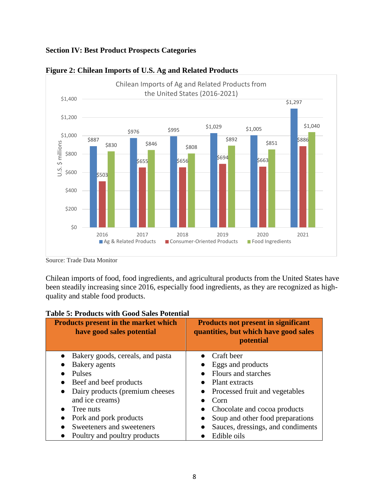# **Section IV: Best Product Prospects Categories**



#### **Figure 2: Chilean Imports of U.S. Ag and Related Products**

Source: Trade Data Monitor

Chilean imports of food, food ingredients, and agricultural products from the United States have been steadily increasing since 2016, especially food ingredients, as they are recognized as highquality and stable food products.

| <b>Products present in the market which</b><br>have good sales potential | <b>Products not present in significant</b><br>quantities, but which have good sales<br><b>potential</b> |
|--------------------------------------------------------------------------|---------------------------------------------------------------------------------------------------------|
| Bakery goods, cereals, and pasta<br>$\bullet$                            | Craft beer                                                                                              |
| Bakery agents                                                            | Eggs and products                                                                                       |
| Pulses                                                                   | Flours and starches                                                                                     |
| Beef and beef products<br>$\bullet$                                      | Plant extracts                                                                                          |
| Dairy products (premium cheeses<br>$\bullet$                             | • Processed fruit and vegetables                                                                        |
| and ice creams)                                                          | Corn                                                                                                    |
| Tree nuts<br>$\bullet$                                                   | Chocolate and cocoa products                                                                            |
| Pork and pork products                                                   | Soup and other food preparations                                                                        |
| Sweeteners and sweeteners<br>$\bullet$                                   | Sauces, dressings, and condiments                                                                       |
| Poultry and poultry products                                             | Edible oils                                                                                             |

# **Table 5: Products with Good Sales Potential**